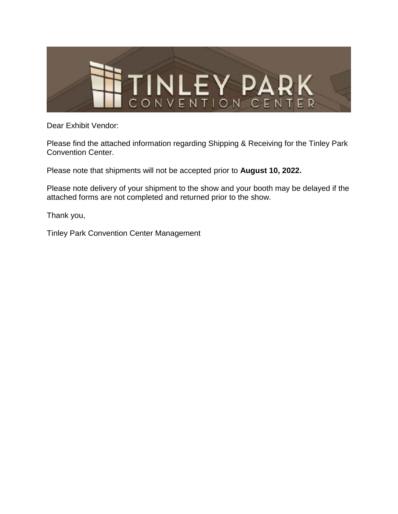

Dear Exhibit Vendor:

Please find the attached information regarding Shipping & Receiving for the Tinley Park Convention Center.

Please note that shipments will not be accepted prior to **August 10, 2022.**

Please note delivery of your shipment to the show and your booth may be delayed if the attached forms are not completed and returned prior to the show.

Thank you,

Tinley Park Convention Center Management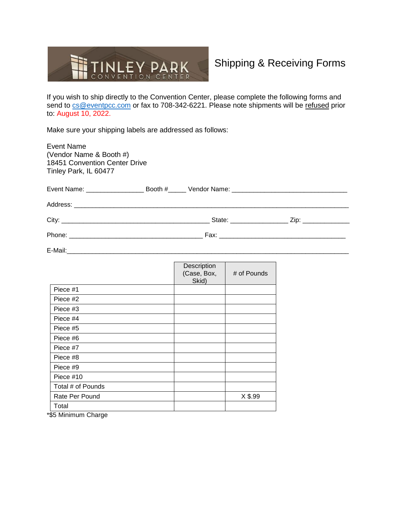

## Shipping & Receiving Forms

If you wish to ship directly to the Convention Center, please complete the following forms and send to [cs@eventpcc.com](mailto:cs@eventpcc.com) or fax to 708-342-6221. Please note shipments will be refused prior to: August 10, 2022.

Make sure your shipping labels are addressed as follows:

| <b>Event Name</b><br>(Vendor Name & Booth #)<br><b>18451 Convention Center Drive</b><br>Tinley Park, IL 60477 |  |                                     |             |  |
|---------------------------------------------------------------------------------------------------------------|--|-------------------------------------|-------------|--|
|                                                                                                               |  |                                     |             |  |
|                                                                                                               |  |                                     |             |  |
|                                                                                                               |  |                                     |             |  |
|                                                                                                               |  |                                     |             |  |
|                                                                                                               |  |                                     |             |  |
|                                                                                                               |  | Description<br>(Case, Box,<br>Skid) | # of Pounds |  |
| Piece #1                                                                                                      |  |                                     |             |  |
| Piece #2                                                                                                      |  |                                     |             |  |
| Piece #3                                                                                                      |  |                                     |             |  |
| Piece #4                                                                                                      |  |                                     |             |  |
| Piece #5                                                                                                      |  |                                     |             |  |
| Piece #6                                                                                                      |  |                                     |             |  |
| Piece #7                                                                                                      |  |                                     |             |  |
| Piece #8                                                                                                      |  |                                     |             |  |
| Piece #9                                                                                                      |  |                                     |             |  |
| Piece #10                                                                                                     |  |                                     |             |  |
| Total # of Pounds                                                                                             |  |                                     |             |  |
| Rate Per Pound                                                                                                |  |                                     | X \$.99     |  |
| Total                                                                                                         |  |                                     |             |  |
|                                                                                                               |  |                                     |             |  |

\*\$5 Minimum Charge